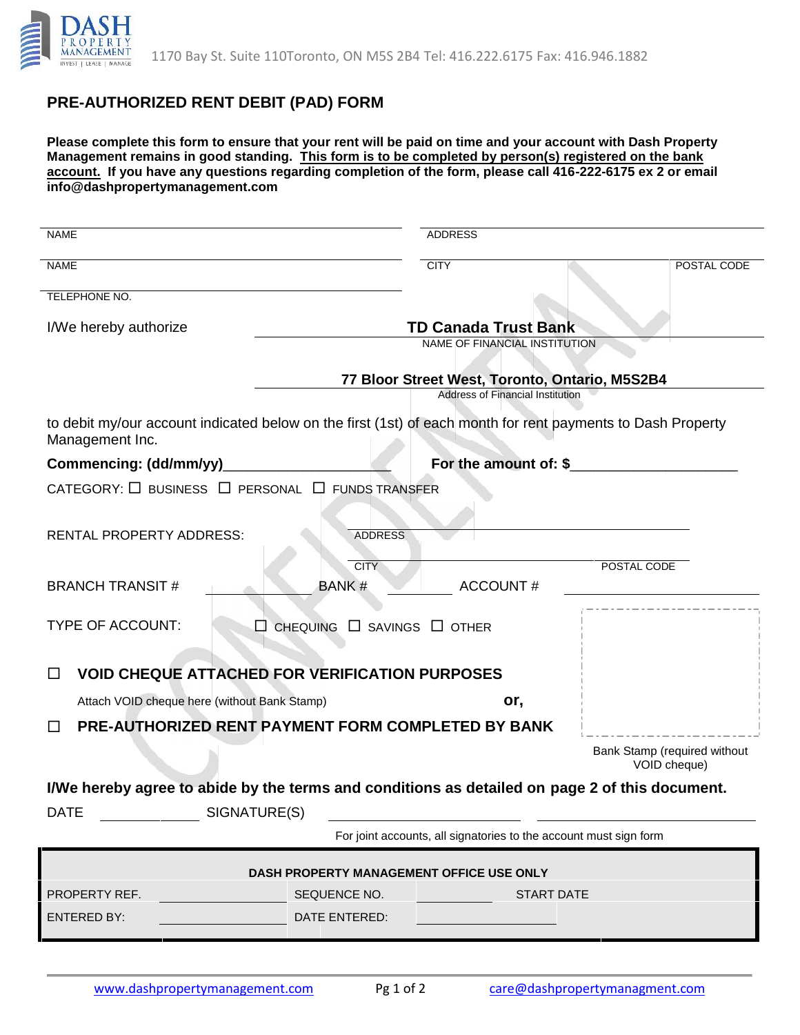

## **PRE-AUTHORIZED RENT DEBIT (PAD) FORM**

**Please complete this form to ensure that your rent will be paid on time and your account with Dash Property Management remains in good standing. This form is to be completed by person(s) registered on the bank account. If you have any questions regarding completion of the form, please call 416-222-6175 ex 2 or email info@dashpropertymanagement.com**

| <b>NAME</b>                                                                                                                    | <b>ADDRESS</b>                                                                            |                                              |
|--------------------------------------------------------------------------------------------------------------------------------|-------------------------------------------------------------------------------------------|----------------------------------------------|
| <b>NAME</b>                                                                                                                    | <b>CITY</b>                                                                               | POSTAL CODE                                  |
| TELEPHONE NO.                                                                                                                  |                                                                                           |                                              |
| I/We hereby authorize                                                                                                          | <b>TD Canada Trust Bank</b>                                                               |                                              |
|                                                                                                                                | NAME OF FINANCIAL INSTITUTION                                                             |                                              |
|                                                                                                                                | 77 Bloor Street West, Toronto, Ontario, M5S2B4<br><b>Address of Financial Institution</b> |                                              |
| to debit my/our account indicated below on the first (1st) of each month for rent payments to Dash Property<br>Management Inc. |                                                                                           |                                              |
| For the amount of: \$<br>Commencing: (dd/mm/yy)                                                                                |                                                                                           |                                              |
| CATEGORY: $\Box$ BUSINESS $\Box$ PERSONAL $\Box$ FUNDS TRANSFER                                                                |                                                                                           |                                              |
| <b>RENTAL PROPERTY ADDRESS:</b>                                                                                                | <b>ADDRESS</b>                                                                            |                                              |
|                                                                                                                                | <b>CITY</b>                                                                               | POSTAL CODE                                  |
| <b>BRANCH TRANSIT#</b>                                                                                                         | <b>BANK#</b><br><b>ACCOUNT#</b>                                                           |                                              |
| TYPE OF ACCOUNT:<br>□                                                                                                          | CHEQUING $\Box$ SAVINGS $\Box$ OTHER                                                      |                                              |
| <b>VOID CHEQUE ATTACHED FOR VERIFICATION PURPOSES</b><br>□                                                                     |                                                                                           |                                              |
| Attach VOID cheque here (without Bank Stamp)                                                                                   | or,                                                                                       |                                              |
| □                                                                                                                              | PRE-AUTHORIZED RENT PAYMENT FORM COMPLETED BY BANK                                        |                                              |
|                                                                                                                                |                                                                                           | Bank Stamp (required without<br>VOID cheque) |
| I/We hereby agree to abide by the terms and conditions as detailed on page 2 of this document.                                 |                                                                                           |                                              |
| SIGNATURE(S)<br>DATE                                                                                                           |                                                                                           |                                              |
| For joint accounts, all signatories to the account must sign form                                                              |                                                                                           |                                              |
| DASH PROPERTY MANAGEMENT OFFICE USE ONLY                                                                                       |                                                                                           |                                              |
| PROPERTY REF.                                                                                                                  | SEQUENCE NO.                                                                              | START DATE AND INCOME.                       |
| <b>ENTERED BY:</b>                                                                                                             | DATE ENTERED:                                                                             |                                              |